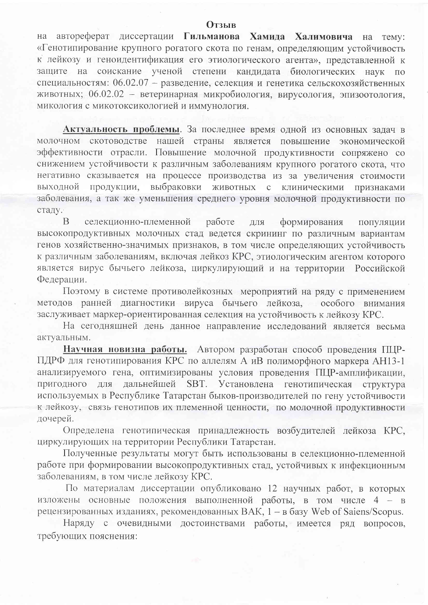## **Отзыв**

автореферат диссертации Гильманова Хамида Халимовича на тему: на «Генотипирование крупного рогатого скота по генам, определяющим устойчивость к лейкозу и геноидентификация его этиологического агента», представленной к защите на соискание ученой степени кандидата биологических наук по специальностям: 06.02.07 - разведение, селекция и генетика сельскохозяйственных животных; 06.02.02 - ветеринарная микробиология, вирусология, эпизоотология, микология с микотоксикологией и иммунология.

Актуальность проблемы. За последнее время одной из основных задач в молочном скотоводстве нашей страны является повышение экономической эффективности отрасли. Повышение молочной продуктивности сопряжено со снижением устойчивости к различным заболеваниям крупного рогатого скота, что негативно сказывается на процессе производства из за увеличения стоимости выходной продукции, выбраковки животных с клиническими признаками заболевания, а так же уменьшения среднего уровня молочной продуктивности по стаду.

 $\overline{B}$ селекционно-племенной работе ДЛЯ формирования популяции высокопродуктивных молочных стад ведется скрининг по различным вариантам генов хозяйственно-значимых признаков, в том числе определяющих устойчивость к различным заболеваниям, включая лейкоз КРС, этиологическим агентом которого является вирус бычьего лейкоза, циркулирующий и на территории Российской Федерации.

Поэтому в системе противолейкозных мероприятий на ряду с применением методов ранней диагностики вируса бычьего лейкоза, особого внимания заслуживает маркер-ориентированная селекция на устойчивость к лейкозу КРС.

На сегодняшней день данное направление исследований является весьма актуальным.

Научная новизна работы. Автором разработан способ проведения ПЦР-ПДРФ для генотипирования КРС по аллелям А иВ полиморфного маркера АН13-1 анализируемого гена, оптимизированы условия проведения ПЦР-амплификации, пригодного для дальнейшей SBT. Установлена генотипическая структура используемых в Республике Татарстан быков-производителей по гену устойчивости к лейкозу, связь генотипов их племенной ценности, по молочной продуктивности дочерей.

Определена генотипическая принадлежность возбудителей лейкоза КРС, циркулирующих на территории Республики Татарстан.

Полученные результаты могут быть использованы в селекционно-племенной работе при формировании высокопродуктивных стад, устойчивых к инфекционным заболеваниям, в том числе лейкозу КРС.

По материалам диссертации опубликовано 12 научных работ, в которых изложены основные положения выполненной работы, в том числе 4 - в рецензированных изданиях, рекомендованных ВАК, 1 - в базу Web of Saiens/Scopus.

Наряду с очевидными достоинствами работы, имеется ряд вопросов, требующих пояснения: